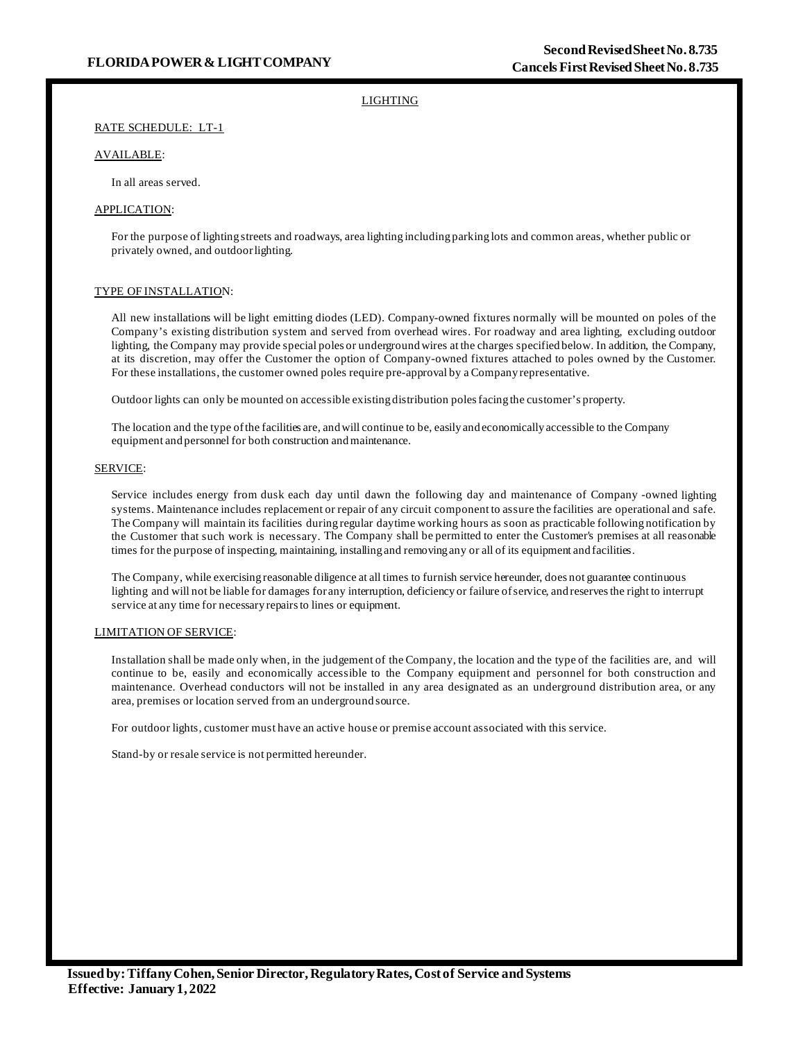# LIGHTING

# RATE SCHEDULE: LT-1

# AVAILABLE:

In all areas served.

# APPLICATION:

For the purpose of lighting streets and roadways, area lighting including parking lots and common areas, whether public or privately owned, and outdoorlighting.

## TYPE OF INSTALLATION:

All new installations will be light emitting diodes (LED). Company-owned fixtures normally will be mounted on poles of the Company's existing distribution system and served from overhead wires. For roadway and area lighting, excluding outdoor lighting, the Company may provide special poles or underground wires at the charges specified below. In addition, the Company, at its discretion, may offer the Customer the option of Company-owned fixtures attached to poles owned by the Customer. For these installations, the customer owned poles require pre-approval by a Company representative.

Outdoor lights can only be mounted on accessible existing distribution poles facing the customer's property.

The location and the type ofthe facilities are, andwill continue to be, easily and economically accessible to the Company equipment and personnel for both construction and maintenance.

## SERVICE:

Service includes energy from dusk each day until dawn the following day and maintenance of Company -owned lighting systems. Maintenance includes replacement or repair of any circuit component to assure the facilities are operational and safe. The Company will maintain its facilities during regular daytime working hours as soon as practicable following notification by the Customer that such work is necessary. The Company shall be permitted to enter the Customer's premises at all reasonable times for the purpose of inspecting, maintaining, installing and removing any or all of its equipment and facilities.

The Company, while exercising reasonable diligence at all times to furnish service hereunder, does not guarantee continuous lighting and will not be liable for damages for any interruption, deficiency or failure ofservice, and reservesthe right to interrupt service at any time for necessary repairsto lines or equipment.

# LIMITATION OF SERVICE:

Installation shall be made only when, in the judgement of the Company, the location and the type of the facilities are, and will continue to be, easily and economically accessible to the Company equipment and personnel for both construction and maintenance. Overhead conductors will not be installed in any area designated as an underground distribution area, or any area, premises or location served from an underground source.

For outdoor lights, customer must have an active house or premise account associated with this service.

Stand-by or resale service is not permitted hereunder.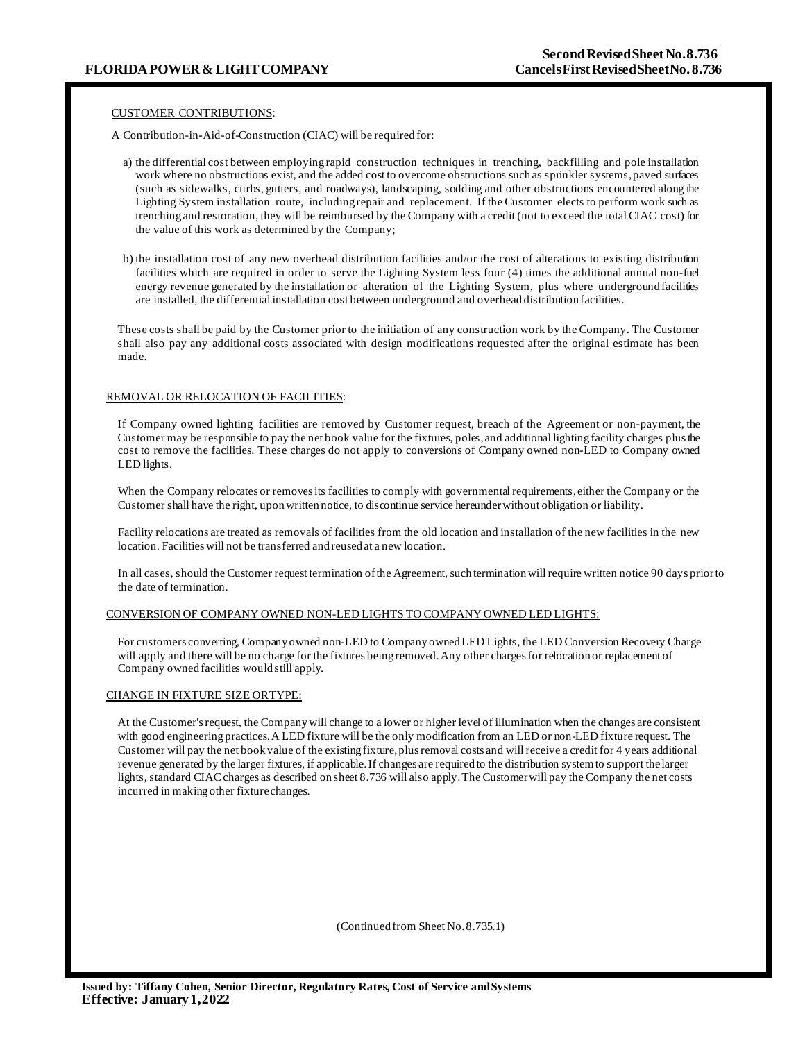## CUSTOMER CONTRIBUTIONS:

A Contribution-in-Aid-of-Construction (CIAC) will be required for:

- a) the differential cost between employing rapid construction techniques in trenching, backfilling and pole installation work where no obstructions exist, and the added cost to overcome obstructions such as sprinkler systems, paved surfaces (such as sidewalks, curbs, gutters, and roadways), landscaping, sodding and other obstructions encountered along the Lighting System installation route, including repair and replacement. If the Customer elects to perform work such as trenching and restoration, they will be reimbursed by the Company with a credit (not to exceed the total CIAC cost) for the value of this work as determined by the Company;
- b) the installation cost of any new overhead distribution facilities and/or the cost of alterations to existing distribution facilities which are required in order to serve the Lighting System less four (4) times the additional annual non-fuel energy revenue generated by the installation or alteration of the Lighting System, plus where underground facilities are installed, the differential installation cost between underground and overhead distribution facilities.

These costs shall be paid by the Customer prior to the initiation of any construction work by the Company. The Customer shall also pay any additional costs associated with design modifications requested after the original estimate has been made.

#### REMOVAL OR RELOCATION OF FACILITIES:

If Company owned lighting facilities are removed by Customer request, breach of the Agreement or non-payment, the Customer may be responsible to pay the net book value for the fixtures, poles, and additional lighting facility charges plusthe cost to remove the facilities. These charges do not apply to conversions of Company owned non-LED to Company owned LED lights.

When the Company relocates or removes its facilities to comply with governmental requirements, either the Company or the Customer shall have the right, uponwritten notice, to discontinue service hereunderwithout obligation or liability.

Facility relocations are treated as removals of facilities from the old location and installation of the new facilities in the new location. Facilities will not be transferred and reused at a new location.

In all cases, should the Customer request termination ofthe Agreement, such terminationwill require written notice 90 days priorto the date of termination.

#### CONVERSION OF COMPANY OWNED NON-LED LIGHTS TO COMPANY OWNED LED LIGHTS:

For customers converting, Company owned non-LED to Company ownedLED Lights, the LED Conversion Recovery Charge will apply and there will be no charge for the fixtures being removed. Any other charges for relocation or replacement of Company owned facilities would still apply.

#### CHANGE IN FIXTURE SIZE ORTYPE:

At the Customer's request, the Company will change to a lower or higher level of illumination when the changes are consistent with good engineering practices.A LED fixture will be the only modification from an LED or non-LED fixture request. The Customer will pay the net book value of the existing fixture, plus removal costs and will receive a credit for 4 years additional revenue generated by the larger fixtures, if applicable. If changes are required to the distribution systemto support thelarger lights, standard CIACcharges as described on sheet 8.736 will also apply.The Customerwill pay the Company the net costs incurred in making other fixturechanges.

(Continued from Sheet No.8.735.1)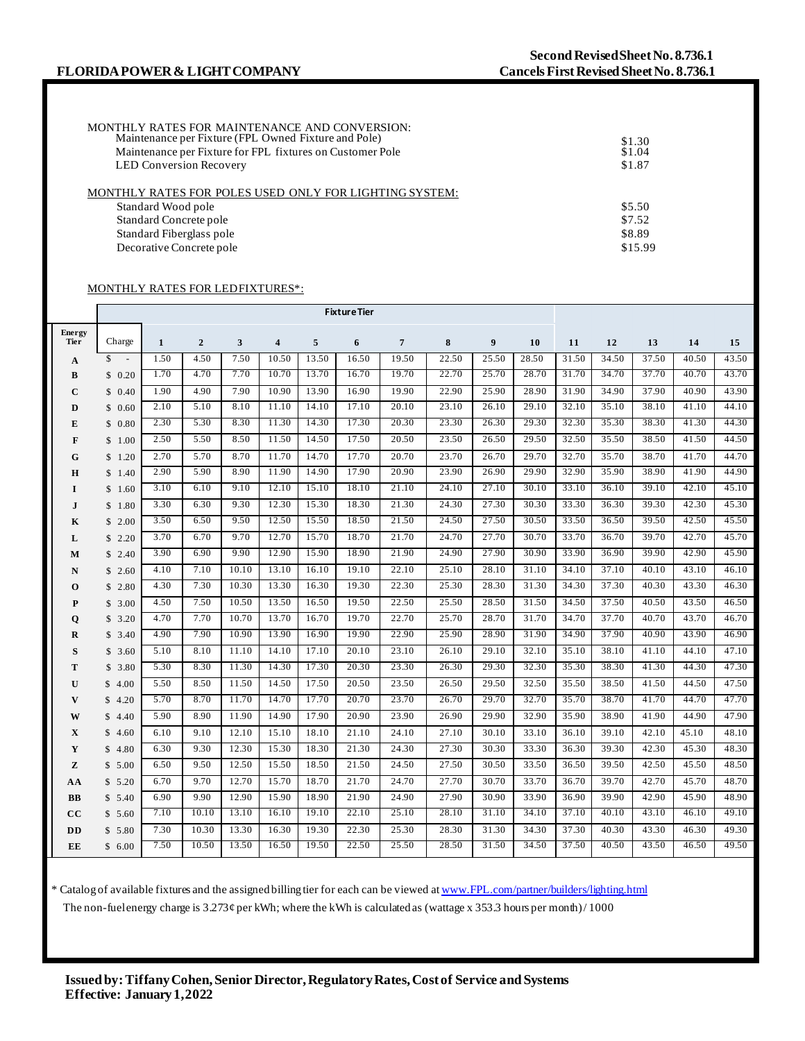| MONTHLY RATES FOR MAINTENANCE AND CONVERSION:<br>Maintenance per Fixture (FPL Owned Fixture and Pole)<br>Maintenance per Fixture for FPL fixtures on Customer Pole<br><b>LED Conversion Recovery</b> | \$1.30<br>\$1.04<br>\$1.87 |
|------------------------------------------------------------------------------------------------------------------------------------------------------------------------------------------------------|----------------------------|
| MONTHLY RATES FOR POLES USED ONLY FOR LIGHTING SYSTEM:                                                                                                                                               |                            |
| Standard Wood pole                                                                                                                                                                                   | \$5.50                     |
| Standard Concrete pole                                                                                                                                                                               | \$7.52                     |
| Standard Fiberglass pole                                                                                                                                                                             | \$8.89                     |
| Decorative Concrete pole                                                                                                                                                                             | \$15.99                    |

# MONTHLY RATES FOR LEDFIXTURES\*:

|              | <b>Fixture Tier</b> |              |                |       |       |       |       |                |       |       |       |       |       |       |       |       |
|--------------|---------------------|--------------|----------------|-------|-------|-------|-------|----------------|-------|-------|-------|-------|-------|-------|-------|-------|
| Energy       |                     |              |                |       |       |       |       |                |       |       |       |       |       |       |       |       |
| <b>Tier</b>  | Charge              | $\mathbf{1}$ | $\overline{2}$ | 3     | 4     | 5     | 6     | $\overline{7}$ | 8     | 9     | 10    | 11    | 12    | 13    | 14    | 15    |
| $\mathbf{A}$ | $s -$               | 1.50         | 4.50           | 7.50  | 10.50 | 13.50 | 16.50 | 19.50          | 22.50 | 25.50 | 28.50 | 31.50 | 34.50 | 37.50 | 40.50 | 43.50 |
| В            | \$0.20              | 1.70         | 4.70           | 7.70  | 10.70 | 13.70 | 16.70 | 19.70          | 22.70 | 25.70 | 28.70 | 31.70 | 34.70 | 37.70 | 40.70 | 43.70 |
| $\mathbf C$  | \$0.40              | 1.90         | 4.90           | 7.90  | 10.90 | 13.90 | 16.90 | 19.90          | 22.90 | 25.90 | 28.90 | 31.90 | 34.90 | 37.90 | 40.90 | 43.90 |
| D            | \$0.60              | 2.10         | 5.10           | 8.10  | 11.10 | 14.10 | 17.10 | 20.10          | 23.10 | 26.10 | 29.10 | 32.10 | 35.10 | 38.10 | 41.10 | 44.10 |
| E            | \$0.80              | 2.30         | 5.30           | 8.30  | 11.30 | 14.30 | 17.30 | 20.30          | 23.30 | 26.30 | 29.30 | 32.30 | 35.30 | 38.30 | 41.30 | 44.30 |
| F            | \$1.00              | 2.50         | 5.50           | 8.50  | 11.50 | 14.50 | 17.50 | 20.50          | 23.50 | 26.50 | 29.50 | 32.50 | 35.50 | 38.50 | 41.50 | 44.50 |
| G            | \$1.20              | 2.70         | 5.70           | 8.70  | 11.70 | 14.70 | 17.70 | 20.70          | 23.70 | 26.70 | 29.70 | 32.70 | 35.70 | 38.70 | 41.70 | 44.70 |
| Н            | \$1.40              | 2.90         | 5.90           | 8.90  | 11.90 | 14.90 | 17.90 | 20.90          | 23.90 | 26.90 | 29.90 | 32.90 | 35.90 | 38.90 | 41.90 | 44.90 |
| 1            | \$1.60              | 3.10         | 6.10           | 9.10  | 12.10 | 15.10 | 18.10 | 21.10          | 24.10 | 27.10 | 30.10 | 33.10 | 36.10 | 39.10 | 42.10 | 45.10 |
| $\mathbf{I}$ | \$1.80              | 3.30         | 6.30           | 9.30  | 12.30 | 15.30 | 18.30 | 21.30          | 24.30 | 27.30 | 30.30 | 33.30 | 36.30 | 39.30 | 42.30 | 45.30 |
| K            | \$2.00              | 3.50         | 6.50           | 9.50  | 12.50 | 15.50 | 18.50 | 21.50          | 24.50 | 27.50 | 30.50 | 33.50 | 36.50 | 39.50 | 42.50 | 45.50 |
| L            | \$2.20              | 3.70         | 6.70           | 9.70  | 12.70 | 15.70 | 18.70 | 21.70          | 24.70 | 27.70 | 30.70 | 33.70 | 36.70 | 39.70 | 42.70 | 45.70 |
| M            | \$2.40              | 3.90         | 6.90           | 9.90  | 12.90 | 15.90 | 18.90 | 21.90          | 24.90 | 27.90 | 30.90 | 33.90 | 36.90 | 39.90 | 42.90 | 45.90 |
| N            | \$2.60              | 4.10         | 7.10           | 10.10 | 13.10 | 16.10 | 19.10 | 22.10          | 25.10 | 28.10 | 31.10 | 34.10 | 37.10 | 40.10 | 43.10 | 46.10 |
| $\mathbf 0$  | \$2.80              | 4.30         | 7.30           | 10.30 | 13.30 | 16.30 | 19.30 | 22.30          | 25.30 | 28.30 | 31.30 | 34.30 | 37.30 | 40.30 | 43.30 | 46.30 |
| P            | \$3.00              | 4.50         | 7.50           | 10.50 | 13.50 | 16.50 | 19.50 | 22.50          | 25.50 | 28.50 | 31.50 | 34.50 | 37.50 | 40.50 | 43.50 | 46.50 |
| Q            | \$3.20              | 4.70         | 7.70           | 10.70 | 13.70 | 16.70 | 19.70 | 22.70          | 25.70 | 28.70 | 31.70 | 34.70 | 37.70 | 40.70 | 43.70 | 46.70 |
| R            | \$3.40              | 4.90         | 7.90           | 10.90 | 13.90 | 16.90 | 19.90 | 22.90          | 25.90 | 28.90 | 31.90 | 34.90 | 37.90 | 40.90 | 43.90 | 46.90 |
| S            | \$3.60              | 5.10         | 8.10           | 11.10 | 14.10 | 17.10 | 20.10 | 23.10          | 26.10 | 29.10 | 32.10 | 35.10 | 38.10 | 41.10 | 44.10 | 47.10 |
| т            | \$3.80              | 5.30         | 8.30           | 11.30 | 14.30 | 17.30 | 20.30 | 23.30          | 26.30 | 29.30 | 32.30 | 35.30 | 38.30 | 41.30 | 44.30 | 47.30 |
| U            | \$4.00              | 5.50         | 8.50           | 11.50 | 14.50 | 17.50 | 20.50 | 23.50          | 26.50 | 29.50 | 32.50 | 35.50 | 38.50 | 41.50 | 44.50 | 47.50 |
| V            | \$4.20              | 5.70         | 8.70           | 11.70 | 14.70 | 17.70 | 20.70 | 23.70          | 26.70 | 29.70 | 32.70 | 35.70 | 38.70 | 41.70 | 44.70 | 47.70 |
| W            | \$4.40              | 5.90         | 8.90           | 11.90 | 14.90 | 17.90 | 20.90 | 23.90          | 26.90 | 29.90 | 32.90 | 35.90 | 38.90 | 41.90 | 44.90 | 47.90 |
| X            | \$4.60              | 6.10         | 9.10           | 12.10 | 15.10 | 18.10 | 21.10 | 24.10          | 27.10 | 30.10 | 33.10 | 36.10 | 39.10 | 42.10 | 45.10 | 48.10 |
| Y            | \$4.80              | 6.30         | 9.30           | 12.30 | 15.30 | 18.30 | 21.30 | 24.30          | 27.30 | 30.30 | 33.30 | 36.30 | 39.30 | 42.30 | 45.30 | 48.30 |
| z            | \$5.00              | 6.50         | 9.50           | 12.50 | 15.50 | 18.50 | 21.50 | 24.50          | 27.50 | 30.50 | 33.50 | 36.50 | 39.50 | 42.50 | 45.50 | 48.50 |
| AA           | \$5.20              | 6.70         | 9.70           | 12.70 | 15.70 | 18.70 | 21.70 | 24.70          | 27.70 | 30.70 | 33.70 | 36.70 | 39.70 | 42.70 | 45.70 | 48.70 |
| BB           | \$5.40              | 6.90         | 9.90           | 12.90 | 15.90 | 18.90 | 21.90 | 24.90          | 27.90 | 30.90 | 33.90 | 36.90 | 39.90 | 42.90 | 45.90 | 48.90 |
| cc           | \$5.60              | 7.10         | 10.10          | 13.10 | 16.10 | 19.10 | 22.10 | 25.10          | 28.10 | 31.10 | 34.10 | 37.10 | 40.10 | 43.10 | 46.10 | 49.10 |
| DD           | \$5.80              | 7.30         | 10.30          | 13.30 | 16.30 | 19.30 | 22.30 | 25.30          | 28.30 | 31.30 | 34.30 | 37.30 | 40.30 | 43.30 | 46.30 | 49.30 |
| EE           | \$6.00              | 7.50         | 10.50          | 13.50 | 16.50 | 19.50 | 22.50 | 25.50          | 28.50 | 31.50 | 34.50 | 37.50 | 40.50 | 43.50 | 46.50 | 49.50 |

\* Catalog of available fixtures and the assigned billing tier for each can be viewed a[t www.FPL.com/partner/builders/lighting.html](http://www.fpl.com/partner/builders/lighting.html) The non-fuelenergy charge is  $3.273$ ¢ per kWh; where the kWh is calculated as (wattage x 353.3 hours per month)/1000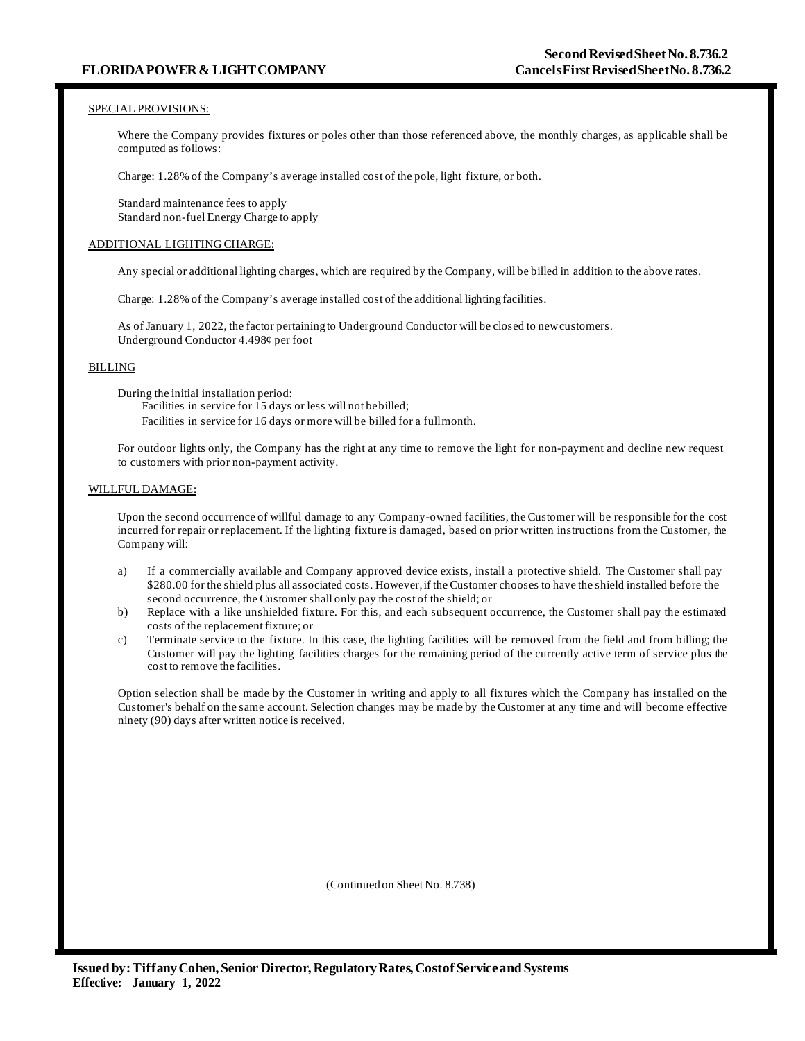## SPECIAL PROVISIONS:

Where the Company provides fixtures or poles other than those referenced above, the monthly charges, as applicable shall be computed as follows:

Charge: 1.28% of the Company's average installed cost of the pole, light fixture, or both.

Standard maintenance fees to apply Standard non-fuel Energy Charge to apply

## ADDITIONAL LIGHTING CHARGE:

Any special or additional lighting charges, which are required by the Company, will be billed in addition to the above rates.

Charge: 1.28% of the Company's average installed cost of the additional lighting facilities.

As of January 1, 2022, the factor pertaining to Underground Conductor will be closed to newcustomers. Underground Conductor 4.498¢ per foot

# BILLING

During the initial installation period:

Facilities in service for 15 days or less will not bebilled; Facilities in service for 16 days or more will be billed for a fullmonth.

For outdoor lights only, the Company has the right at any time to remove the light for non-payment and decline new request to customers with prior non-payment activity.

### WILLFUL DAMAGE:

Upon the second occurrence of willful damage to any Company-owned facilities, the Customer will be responsible for the cost incurred for repair or replacement. If the lighting fixture is damaged, based on prior written instructions from the Customer, the Company will:

- a) If a commercially available and Company approved device exists, install a protective shield. The Customer shall pay \$280.00 for the shield plus all associated costs. However, if the Customer chooses to have the shield installed before the second occurrence, the Customer shall only pay the cost of the shield; or
- b) Replace with a like unshielded fixture. For this, and each subsequent occurrence, the Customer shall pay the estimated costs of the replacement fixture; or
- c) Terminate service to the fixture. In this case, the lighting facilities will be removed from the field and from billing; the Customer will pay the lighting facilities charges for the remaining period of the currently active term of service plus the cost to remove the facilities.

Option selection shall be made by the Customer in writing and apply to all fixtures which the Company has installed on the Customer's behalf on the same account. Selection changes may be made by the Customer at any time and will become effective ninety (90) days after written notice is received.

(Continued on Sheet No. 8.738)